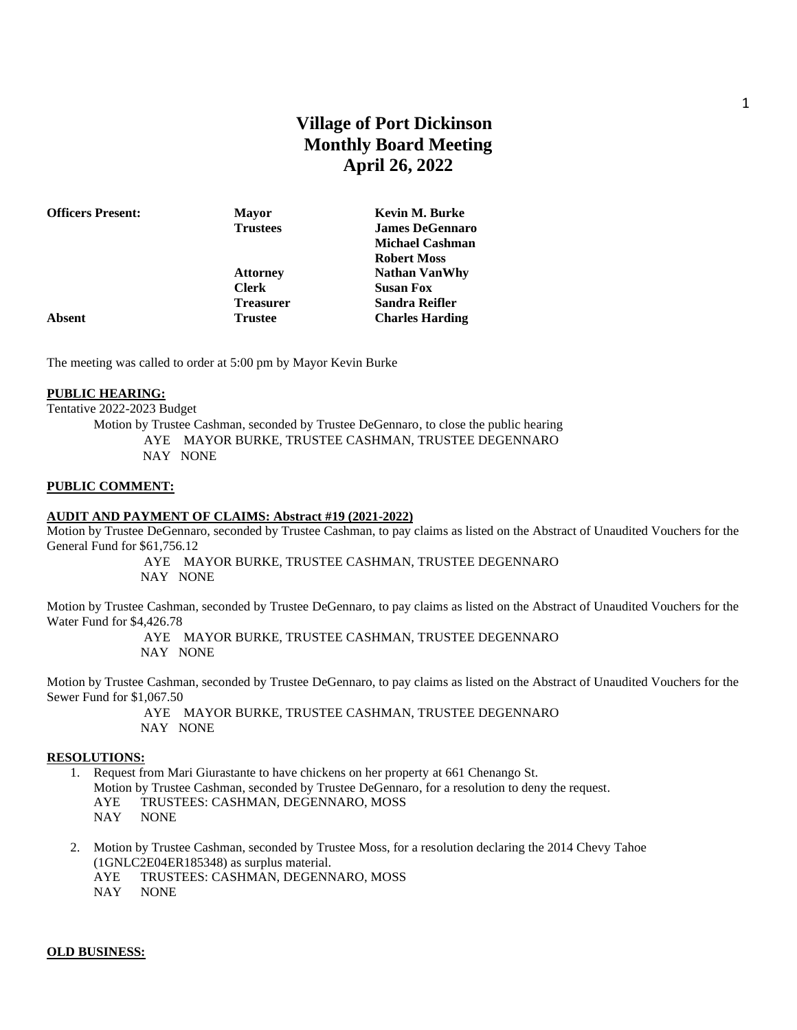# **Village of Port Dickinson Monthly Board Meeting April 26, 2022**

| <b>Officers Present:</b> | <b>Mayor</b>     | Kevin M. Burke         |
|--------------------------|------------------|------------------------|
|                          | <b>Trustees</b>  | <b>James DeGennaro</b> |
|                          |                  | <b>Michael Cashman</b> |
|                          |                  | <b>Robert Moss</b>     |
|                          | <b>Attorney</b>  | <b>Nathan VanWhy</b>   |
|                          | <b>Clerk</b>     | <b>Susan Fox</b>       |
|                          | <b>Treasurer</b> | Sandra Reifler         |
| Absent                   | <b>Trustee</b>   | <b>Charles Harding</b> |
|                          |                  |                        |

The meeting was called to order at 5:00 pm by Mayor Kevin Burke

### **PUBLIC HEARING:**

Tentative 2022-2023 Budget

Motion by Trustee Cashman, seconded by Trustee DeGennaro, to close the public hearing AYE MAYOR BURKE, TRUSTEE CASHMAN, TRUSTEE DEGENNARO NAY NONE

#### **PUBLIC COMMENT:**

#### **AUDIT AND PAYMENT OF CLAIMS: Abstract #19 (2021-2022)**

Motion by Trustee DeGennaro, seconded by Trustee Cashman, to pay claims as listed on the Abstract of Unaudited Vouchers for the General Fund for \$61,756.12

> AYE MAYOR BURKE, TRUSTEE CASHMAN, TRUSTEE DEGENNARO NAY NONE

Motion by Trustee Cashman, seconded by Trustee DeGennaro, to pay claims as listed on the Abstract of Unaudited Vouchers for the Water Fund for \$4,426.78

> AYE MAYOR BURKE, TRUSTEE CASHMAN, TRUSTEE DEGENNARO NAY NONE

Motion by Trustee Cashman, seconded by Trustee DeGennaro, to pay claims as listed on the Abstract of Unaudited Vouchers for the Sewer Fund for \$1,067.50

> AYE MAYOR BURKE, TRUSTEE CASHMAN, TRUSTEE DEGENNARO NAY NONE

#### **RESOLUTIONS:**

- 1. Request from Mari Giurastante to have chickens on her property at 661 Chenango St.
	- Motion by Trustee Cashman, seconded by Trustee DeGennaro, for a resolution to deny the request.
	- AYE TRUSTEES: CASHMAN, DEGENNARO, MOSS
	- NAY NONE
- 2. Motion by Trustee Cashman, seconded by Trustee Moss, for a resolution declaring the 2014 Chevy Tahoe (1GNLC2E04ER185348) as surplus material.
	- AYE TRUSTEES: CASHMAN, DEGENNARO, MOSS
	- NAY NONE

### **OLD BUSINESS:**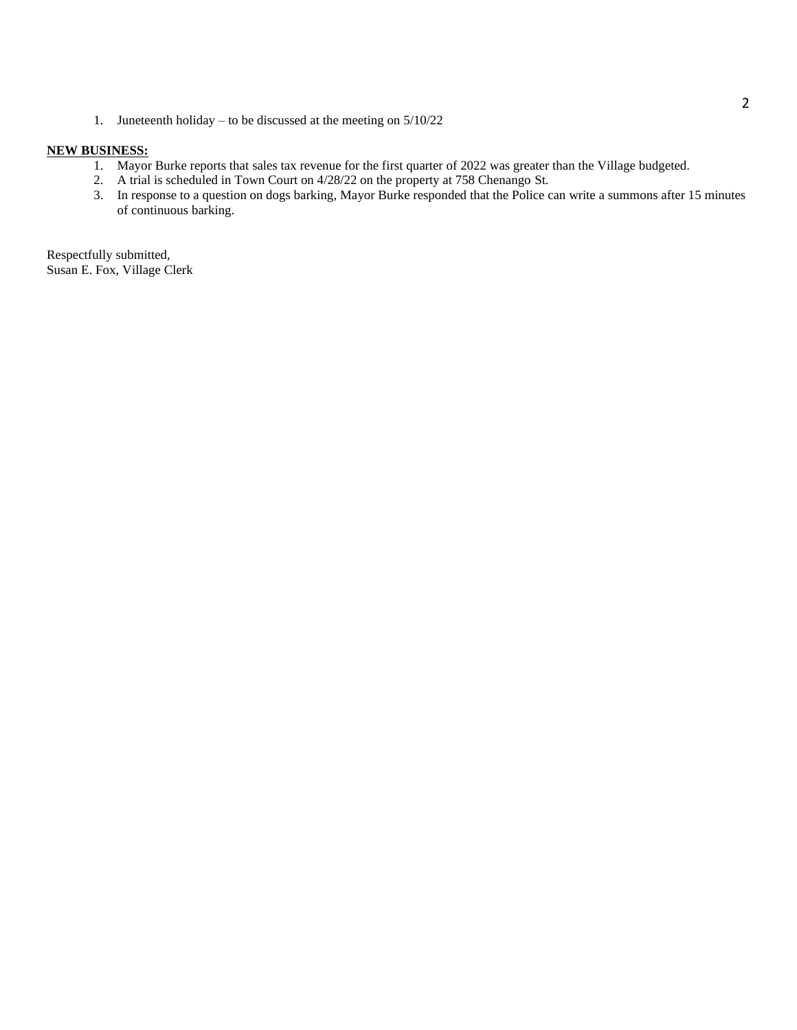1. Juneteenth holiday – to be discussed at the meeting on 5/10/22

### **NEW BUSINESS:**

- 1. Mayor Burke reports that sales tax revenue for the first quarter of 2022 was greater than the Village budgeted.
- 2. A trial is scheduled in Town Court on 4/28/22 on the property at 758 Chenango St.
- 3. In response to a question on dogs barking, Mayor Burke responded that the Police can write a summons after 15 minutes of continuous barking.

Respectfully submitted, Susan E. Fox, Village Clerk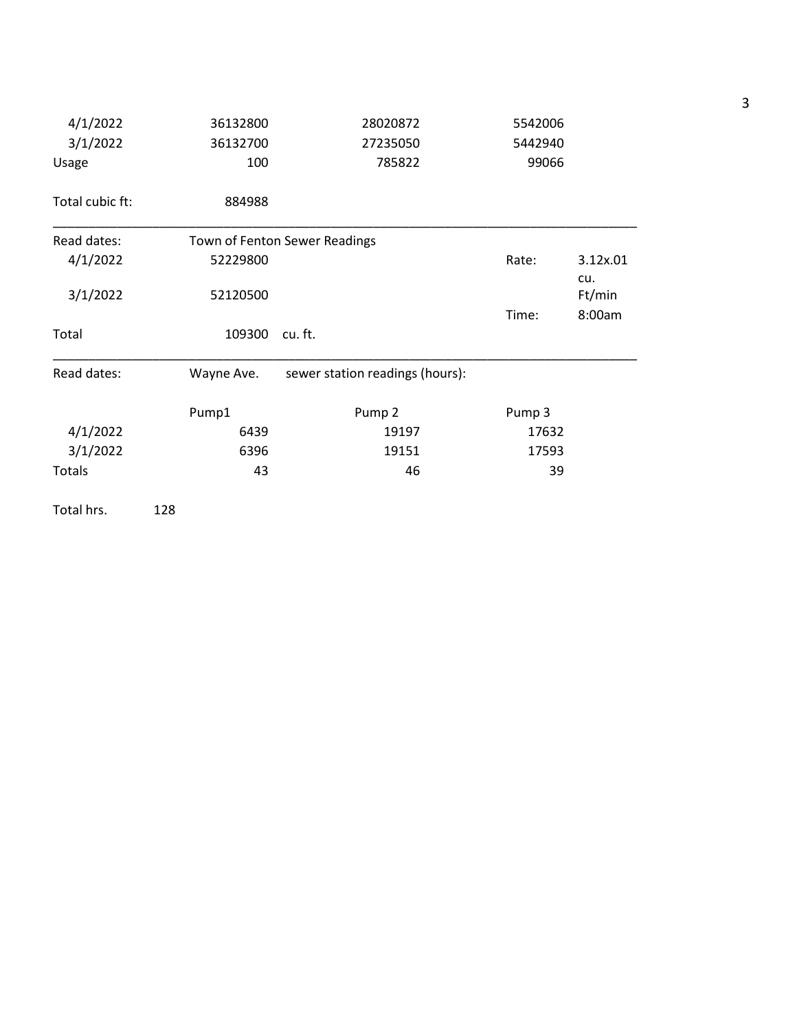| 4/1/2022        | 36132800   | 28020872                        | 5542006 |                 |
|-----------------|------------|---------------------------------|---------|-----------------|
| 3/1/2022        | 36132700   | 27235050                        | 5442940 |                 |
| Usage           | 100        | 785822                          | 99066   |                 |
| Total cubic ft: | 884988     |                                 |         |                 |
| Read dates:     |            | Town of Fenton Sewer Readings   |         |                 |
| 4/1/2022        | 52229800   |                                 | Rate:   | 3.12x.01<br>cu. |
| 3/1/2022        | 52120500   |                                 |         | Ft/min          |
|                 |            |                                 | Time:   | 8:00am          |
| Total           | 109300     | cu. ft.                         |         |                 |
| Read dates:     | Wayne Ave. | sewer station readings (hours): |         |                 |
|                 | Pump1      | Pump <sub>2</sub>               | Pump 3  |                 |
| 4/1/2022        | 6439       | 19197                           | 17632   |                 |
| 3/1/2022        | 6396       | 19151                           | 17593   |                 |
| Totals          | 43         | 46                              | 39      |                 |

Total hrs. 128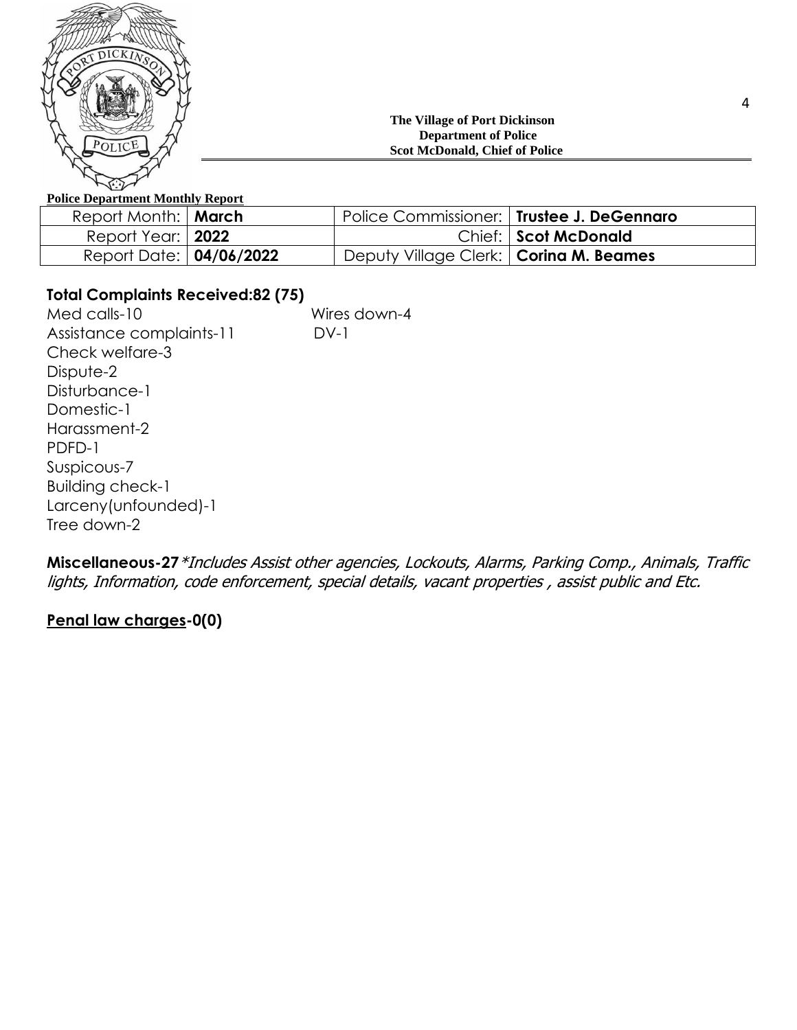

## **The Village of Port Dickinson Department of Police Scot McDonald, Chief of Police**

## **Police Department Monthly Report**

| Report Month:   March          | Police Commissioner:   Trustee J. DeGennaro |                      |
|--------------------------------|---------------------------------------------|----------------------|
| Report Year:   2022            |                                             | Chief: Scot McDonald |
| Report Date: <b>04/06/2022</b> | Deputy Village Clerk:   Corina M. Beames    |                      |

## **Total Complaints Received:82 (75)**

Med calls-10 Wires down-4 Assistance complaints-11 DV-1 Check welfare-3 Dispute-2 Disturbance-1 Domestic-1 Harassment-2 PDFD-1 Suspicous-7 Building check-1 Larceny(unfounded)-1 Tree down-2

**Miscellaneous-27**\*Includes Assist other agencies, Lockouts, Alarms, Parking Comp., Animals, Traffic lights, Information, code enforcement, special details, vacant properties , assist public and Etc.

## **Penal law charges-0(0)**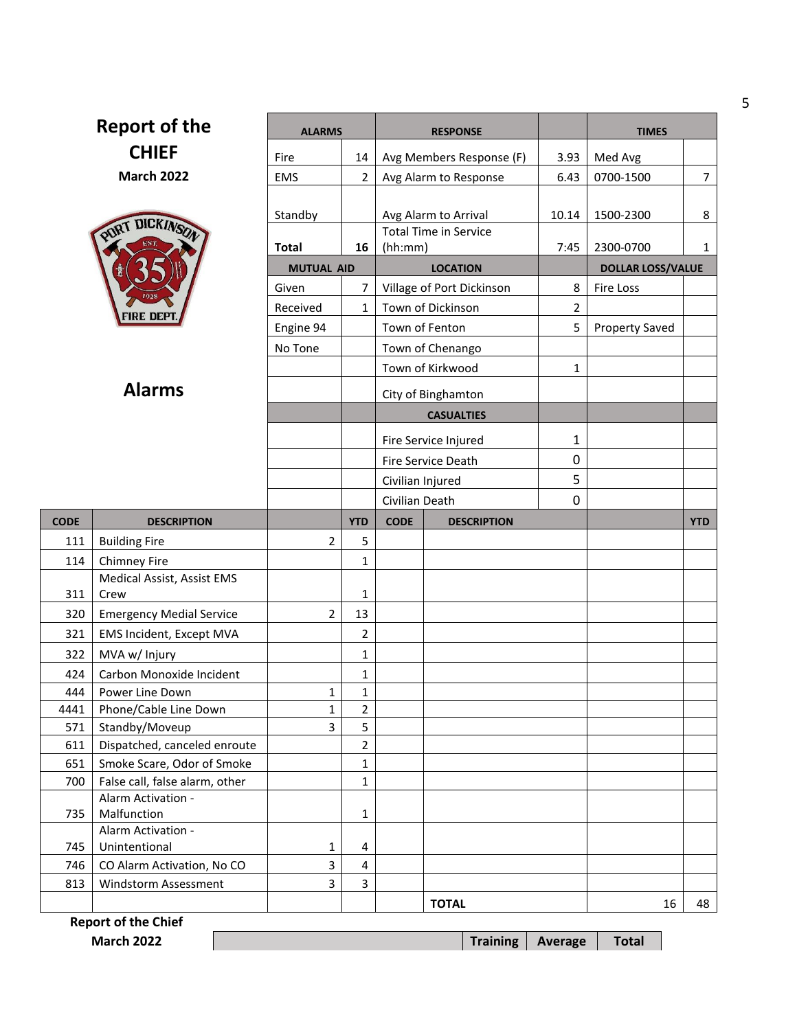| <b>Report of the</b> |                                                    | <b>ALARMS</b>     |                              | <b>RESPONSE</b>                   | <b>TIMES</b>   |                          |                |
|----------------------|----------------------------------------------------|-------------------|------------------------------|-----------------------------------|----------------|--------------------------|----------------|
|                      | <b>CHIEF</b>                                       | Fire              | 14                           | Avg Members Response (F)          | 3.93           | Med Avg                  |                |
|                      | <b>March 2022</b>                                  | <b>EMS</b>        | $\overline{2}$               | Avg Alarm to Response             | 6.43           | 0700-1500                | $\overline{7}$ |
|                      |                                                    |                   |                              |                                   |                |                          |                |
|                      |                                                    | Standby           |                              | Avg Alarm to Arrival              | 10.14          | 1500-2300                | 8              |
|                      | PURT DICKINSON                                     |                   |                              | <b>Total Time in Service</b>      |                |                          |                |
|                      |                                                    | Total             | 16                           | (hh:mm)                           | 7:45           | 2300-0700                | $\mathbf{1}$   |
|                      |                                                    | <b>MUTUAL AID</b> |                              | <b>LOCATION</b>                   |                | <b>DOLLAR LOSS/VALUE</b> |                |
|                      |                                                    | Given             | $\overline{7}$               | Village of Port Dickinson         | 8              | Fire Loss                |                |
|                      | FIRE DEP                                           | Received          | 1                            | Town of Dickinson                 | $\overline{2}$ |                          |                |
|                      |                                                    | Engine 94         |                              | Town of Fenton                    | 5              | <b>Property Saved</b>    |                |
|                      |                                                    | No Tone           |                              | Town of Chenango                  |                |                          |                |
|                      |                                                    |                   |                              | Town of Kirkwood                  | $\mathbf{1}$   |                          |                |
|                      | <b>Alarms</b>                                      |                   |                              | City of Binghamton                |                |                          |                |
|                      |                                                    |                   |                              | <b>CASUALTIES</b>                 |                |                          |                |
|                      |                                                    |                   |                              |                                   |                |                          |                |
|                      |                                                    |                   |                              | Fire Service Injured              | $\mathbf{1}$   |                          |                |
|                      |                                                    |                   |                              | Fire Service Death                | 0              |                          |                |
|                      |                                                    |                   |                              | Civilian Injured                  | 5              |                          |                |
|                      |                                                    |                   |                              | Civilian Death                    | $\mathbf 0$    |                          |                |
|                      |                                                    |                   |                              |                                   |                |                          |                |
| <b>CODE</b>          | <b>DESCRIPTION</b>                                 |                   | <b>YTD</b>                   | <b>CODE</b><br><b>DESCRIPTION</b> |                |                          | <b>YTD</b>     |
| 111                  | <b>Building Fire</b>                               | $\overline{2}$    | 5                            |                                   |                |                          |                |
| 114                  | <b>Chimney Fire</b>                                |                   | 1                            |                                   |                |                          |                |
|                      | Medical Assist, Assist EMS                         |                   |                              |                                   |                |                          |                |
| 311                  | Crew                                               |                   | 1                            |                                   |                |                          |                |
| 320                  | <b>Emergency Medial Service</b>                    | 2                 | 13                           |                                   |                |                          |                |
| 321                  | <b>EMS Incident, Except MVA</b>                    |                   | $\overline{2}$               |                                   |                |                          |                |
| 322                  | MVA w/ Injury                                      |                   | $\mathbf{1}$                 |                                   |                |                          |                |
| 424                  | Carbon Monoxide Incident                           |                   | 1                            |                                   |                |                          |                |
| 444                  | Power Line Down                                    | 1<br>$\mathbf{1}$ | 1                            |                                   |                |                          |                |
| 4441<br>571          | Phone/Cable Line Down<br>Standby/Moveup            | 3                 | $\overline{2}$<br>5          |                                   |                |                          |                |
| 611                  | Dispatched, canceled enroute                       |                   | $\overline{2}$               |                                   |                |                          |                |
| 651                  | Smoke Scare, Odor of Smoke                         |                   | $\mathbf{1}$                 |                                   |                |                          |                |
| 700                  | False call, false alarm, other                     |                   | 1                            |                                   |                |                          |                |
|                      | Alarm Activation -                                 |                   |                              |                                   |                |                          |                |
| 735                  | Malfunction                                        |                   | 1                            |                                   |                |                          |                |
|                      | Alarm Activation -                                 |                   |                              |                                   |                |                          |                |
| 745                  | Unintentional                                      | 1                 | 4                            |                                   |                |                          |                |
| 746<br>813           | CO Alarm Activation, No CO<br>Windstorm Assessment | 3<br>3            | $\overline{\mathbf{4}}$<br>3 |                                   |                |                          |                |

**Report of the Chief**

Г

**March 2022 Training Average Total** 

5